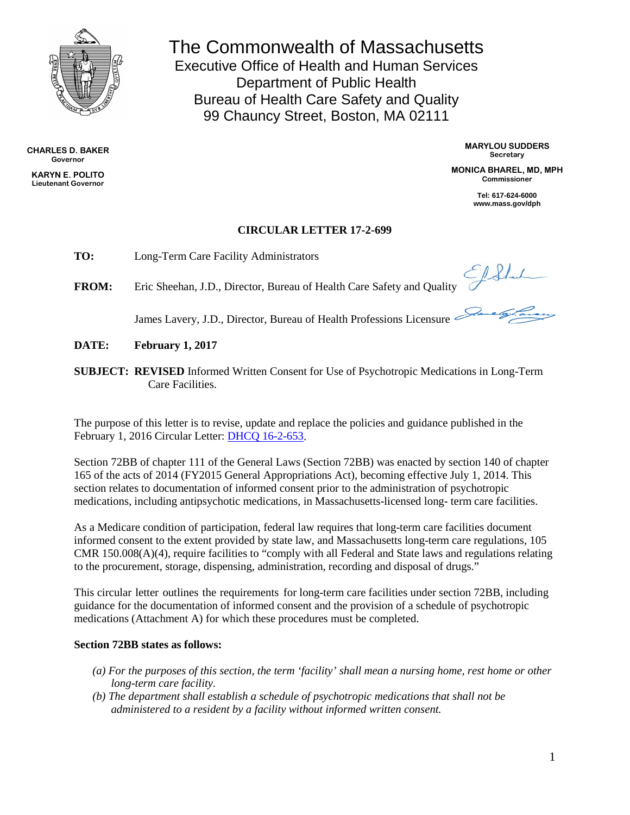

**CHARLES D. BAKER Governor**

**KARYN E. POLITO Lieutenant Governor** The Commonwealth of Massachusetts Executive Office of Health and Human Services Department of Public Health Bureau of Health Care Safety and Quality 99 Chauncy Street, Boston, MA 02111

> **MARYLOU SUDDERS Secretary**

**MONICA BHAREL, MD, MPH Commissioner**

> **Tel: 617-624-6000 www.mass.gov/dph**

# **CIRCULAR LETTER 17-2-699**

**TO:** Long-Term Care Facility Administrators

**FROM:** Eric Sheehan, J.D., Director, Bureau of Health Care Safety and Quality

James Lavery, J.D., Director, Bureau of Health Professions Licensure

**DATE: February 1, 2017**

**SUBJECT: REVISED** Informed Written Consent for Use of Psychotropic Medications in Long-Term Care Facilities.

The purpose of this letter is to revise, update and replace the policies and guidance published in the February 1, 2016 Circular Letter: [DHCQ 16-2-653.](http://www.mass.gov/eohhs/docs/dph/quality/hcq-circular-letters/2016/dhcq-653.pdf) 

Section 72BB of chapter 111 of the General Laws (Section 72BB) was enacted by section 140 of chapter 165 of the acts of 2014 (FY2015 General Appropriations Act), becoming effective July 1, 2014. This section relates to documentation of informed consent prior to the administration of psychotropic medications, including antipsychotic medications, in Massachusetts-licensed long- term care facilities.

As a Medicare condition of participation, federal law requires that long-term care facilities document informed consent to the extent provided by state law, and Massachusetts long-term care regulations, 105 CMR 150.008(A)(4), require facilities to "comply with all Federal and State laws and regulations relating to the procurement, storage, dispensing, administration, recording and disposal of drugs."

This circular letter outlines the requirements for long-term care facilities under section 72BB, including guidance for the documentation of informed consent and the provision of a schedule of psychotropic medications (Attachment A) for which these procedures must be completed.

# **Section 72BB states as follows:**

- *(a) For the purposes of this section, the term 'facility' shall mean a nursing home, rest home or other long-term care facility.*
- *(b) The department shall establish a schedule of psychotropic medications that shall not be administered to a resident by a facility without informed written consent.*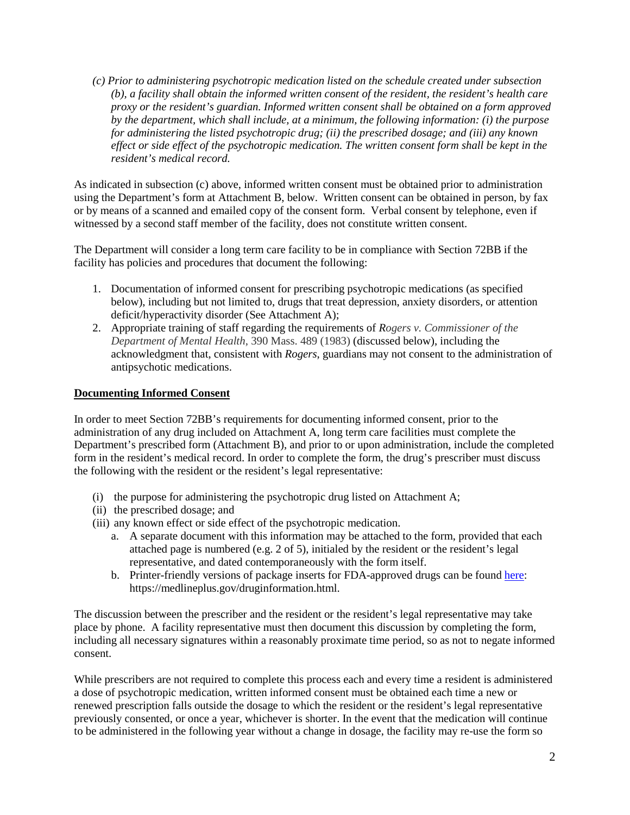*(c) Prior to administering psychotropic medication listed on the schedule created under subsection (b), a facility shall obtain the informed written consent of the resident, the resident's health care proxy or the resident's guardian. Informed written consent shall be obtained on a form approved by the department, which shall include, at a minimum, the following information: (i) the purpose for administering the listed psychotropic drug; (ii) the prescribed dosage; and (iii) any known effect or side effect of the psychotropic medication. The written consent form shall be kept in the resident's medical record.*

As indicated in subsection (c) above, informed written consent must be obtained prior to administration using the Department's form at Attachment B, below. Written consent can be obtained in person, by fax or by means of a scanned and emailed copy of the consent form. Verbal consent by telephone, even if witnessed by a second staff member of the facility, does not constitute written consent.

The Department will consider a long term care facility to be in compliance with Section 72BB if the facility has policies and procedures that document the following:

- 1. Documentation of informed consent for prescribing psychotropic medications (as specified below), including but not limited to, drugs that treat depression, anxiety disorders, or attention deficit/hyperactivity disorder (See Attachment A);
- 2. Appropriate training of staff regarding the requirements of *Rogers v. Commissioner of the Department of Mental Health*, 390 Mass. 489 (1983) (discussed below), including the acknowledgment that, consistent with *Rogers*, guardians may not consent to the administration of antipsychotic medications.

# **Documenting Informed Consent**

In order to meet Section 72BB's requirements for documenting informed consent, prior to the administration of any drug included on Attachment A, long term care facilities must complete the Department's prescribed form (Attachment B), and prior to or upon administration, include the completed form in the resident's medical record. In order to complete the form, the drug's prescriber must discuss the following with the resident or the resident's legal representative:

- (i) the purpose for administering the psychotropic drug listed on Attachment A;
- (ii) the prescribed dosage; and
- (iii) any known effect or side effect of the psychotropic medication.
	- a. A separate document with this information may be attached to the form, provided that each attached page is numbered (e.g. 2 of 5), initialed by the resident or the resident's legal representative, and dated contemporaneously with the form itself.
	- b. Printer-friendly versions of package inserts for FDA-approved drugs can be found [here:](https://medlineplus.gov/druginformation.html) https://medlineplus.gov/druginformation.html.

The discussion between the prescriber and the resident or the resident's legal representative may take place by phone. A facility representative must then document this discussion by completing the form, including all necessary signatures within a reasonably proximate time period, so as not to negate informed consent.

While prescribers are not required to complete this process each and every time a resident is administered a dose of psychotropic medication, written informed consent must be obtained each time a new or renewed prescription falls outside the dosage to which the resident or the resident's legal representative previously consented, or once a year, whichever is shorter. In the event that the medication will continue to be administered in the following year without a change in dosage, the facility may re-use the form so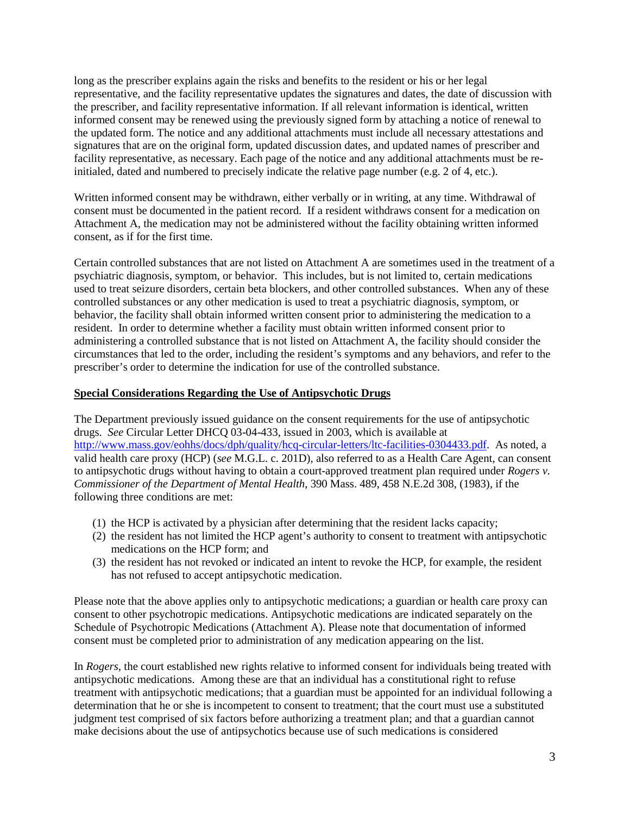long as the prescriber explains again the risks and benefits to the resident or his or her legal representative, and the facility representative updates the signatures and dates, the date of discussion with the prescriber, and facility representative information. If all relevant information is identical, written informed consent may be renewed using the previously signed form by attaching a notice of renewal to the updated form. The notice and any additional attachments must include all necessary attestations and signatures that are on the original form, updated discussion dates, and updated names of prescriber and facility representative, as necessary. Each page of the notice and any additional attachments must be reinitialed, dated and numbered to precisely indicate the relative page number (e.g. 2 of 4, etc.).

Written informed consent may be withdrawn, either verbally or in writing, at any time. Withdrawal of consent must be documented in the patient record. If a resident withdraws consent for a medication on Attachment A, the medication may not be administered without the facility obtaining written informed consent, as if for the first time.

Certain controlled substances that are not listed on Attachment A are sometimes used in the treatment of a psychiatric diagnosis, symptom, or behavior. This includes, but is not limited to, certain medications used to treat seizure disorders, certain beta blockers, and other controlled substances. When any of these controlled substances or any other medication is used to treat a psychiatric diagnosis, symptom, or behavior, the facility shall obtain informed written consent prior to administering the medication to a resident. In order to determine whether a facility must obtain written informed consent prior to administering a controlled substance that is not listed on Attachment A, the facility should consider the circumstances that led to the order, including the resident's symptoms and any behaviors, and refer to the prescriber's order to determine the indication for use of the controlled substance.

## **Special Considerations Regarding the Use of Antipsychotic Drugs**

The Department previously issued guidance on the consent requirements for the use of antipsychotic drugs. *See* Circular Letter DHCQ 03-04-433, issued in 2003, which is available at [http://www.mass.gov/eohhs/docs/dph/quality/hcq-circular-letters/ltc-facilities-0304433.pdf.](http://www.mass.gov/eohhs/docs/dph/quality/hcq-circular-letters/ltc-facilities-0304433.pdf) As noted, a valid health care proxy (HCP) (*see* M.G.L. c. 201D), also referred to as a Health Care Agent, can consent to antipsychotic drugs without having to obtain a court-approved treatment plan required under *Rogers v. Commissioner of the Department of Mental Health*, 390 Mass. 489, 458 N.E.2d 308, (1983), if the following three conditions are met:

- (1) the HCP is activated by a physician after determining that the resident lacks capacity;
- (2) the resident has not limited the HCP agent's authority to consent to treatment with antipsychotic medications on the HCP form; and
- (3) the resident has not revoked or indicated an intent to revoke the HCP, for example, the resident has not refused to accept antipsychotic medication.

Please note that the above applies only to antipsychotic medications; a guardian or health care proxy can consent to other psychotropic medications. Antipsychotic medications are indicated separately on the Schedule of Psychotropic Medications (Attachment A). Please note that documentation of informed consent must be completed prior to administration of any medication appearing on the list.

In *Rogers,* the court established new rights relative to informed consent for individuals being treated with antipsychotic medications. Among these are that an individual has a constitutional right to refuse treatment with antipsychotic medications; that a guardian must be appointed for an individual following a determination that he or she is incompetent to consent to treatment; that the court must use a substituted judgment test comprised of six factors before authorizing a treatment plan; and that a guardian cannot make decisions about the use of antipsychotics because use of such medications is considered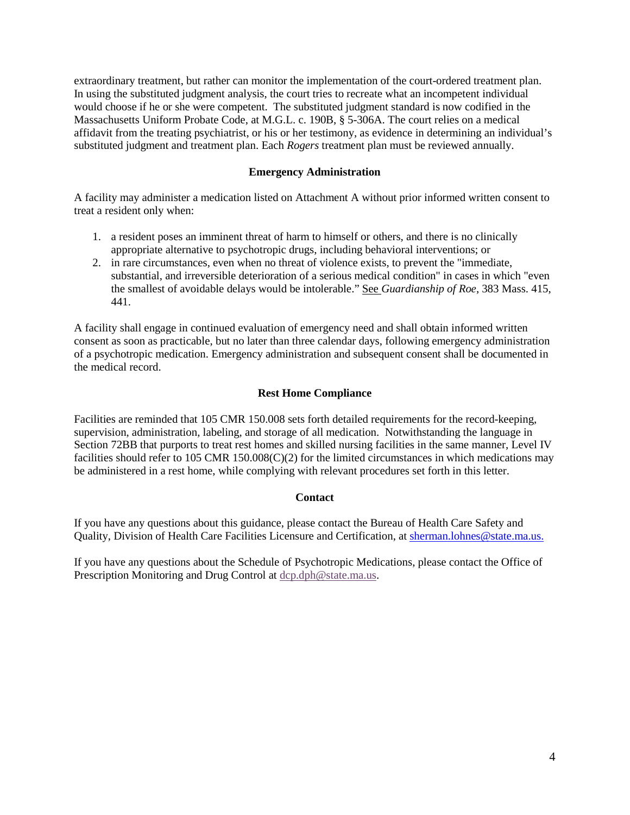extraordinary treatment, but rather can monitor the implementation of the court-ordered treatment plan. In using the substituted judgment analysis, the court tries to recreate what an incompetent individual would choose if he or she were competent. The substituted judgment standard is now codified in the Massachusetts Uniform Probate Code, at M.G.L. c. 190B, § 5-306A. The court relies on a medical affidavit from the treating psychiatrist, or his or her testimony, as evidence in determining an individual's substituted judgment and treatment plan. Each *Rogers* treatment plan must be reviewed annually.

## **Emergency Administration**

A facility may administer a medication listed on Attachment A without prior informed written consent to treat a resident only when:

- 1. a resident poses an imminent threat of harm to himself or others, and there is no clinically appropriate alternative to psychotropic drugs, including behavioral interventions; or
- 2. in rare circumstances, even when no threat of violence exists, to prevent the "immediate, substantial, and irreversible deterioration of a serious medical condition" in cases in which "even the smallest of avoidable delays would be intolerable." See *Guardianship of Roe*, 383 Mass. 415, 441.

A facility shall engage in continued evaluation of emergency need and shall obtain informed written consent as soon as practicable, but no later than three calendar days, following emergency administration of a psychotropic medication. Emergency administration and subsequent consent shall be documented in the medical record.

## **Rest Home Compliance**

Facilities are reminded that 105 CMR 150.008 sets forth detailed requirements for the record-keeping, supervision, administration, labeling, and storage of all medication. Notwithstanding the language in Section 72BB that purports to treat rest homes and skilled nursing facilities in the same manner, Level IV facilities should refer to 105 CMR 150.008(C)(2) for the limited circumstances in which medications may be administered in a rest home, while complying with relevant procedures set forth in this letter.

#### **Contact**

If you have any questions about this guidance, please contact the Bureau of Health Care Safety and Quality, Division of Health Care Facilities Licensure and Certification, at [sherman.lohnes@state.ma.us.](mailto:sherman.lohnes@state.ma.us.)

If you have any questions about the Schedule of Psychotropic Medications, please contact the Office of Prescription Monitoring and Drug Control at [dcp.dph@state.ma.us.](mailto:dcp.dph@state.ma.us)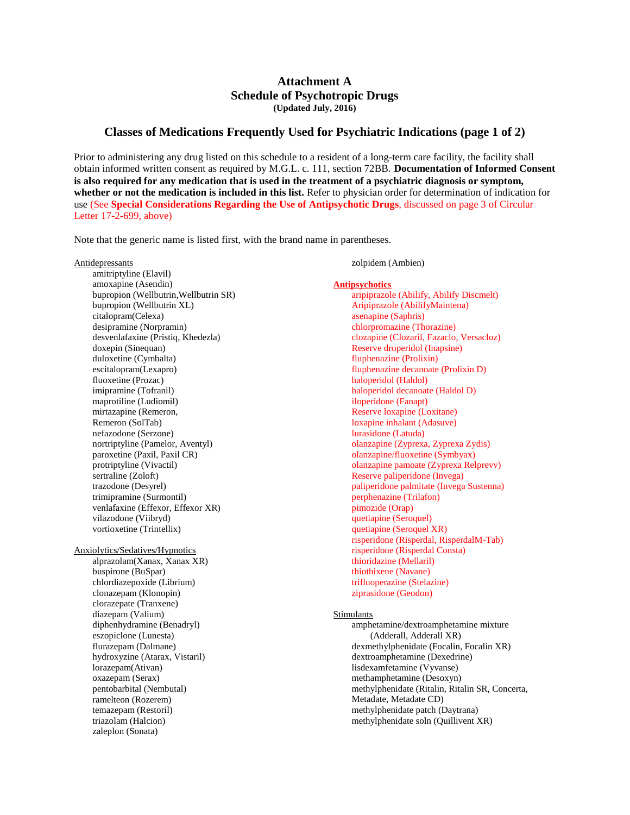## **Attachment A Schedule of Psychotropic Drugs (Updated July, 2016)**

## **Classes of Medications Frequently Used for Psychiatric Indications (page 1 of 2)**

Prior to administering any drug listed on this schedule to a resident of a long-term care facility, the facility shall obtain informed written consent as required by M.G.L. c. 111, section 72BB. **Documentation of Informed Consent is also required for any medication that is used in the treatment of a psychiatric diagnosis or symptom, whether or not the medication is included in this list.** Refer to physician order for determination of indication for use (See **Special Considerations Regarding the Use of Antipsychotic Drugs**, discussed on page 3 of Circular Letter 17-2-699, above)

Note that the generic name is listed first, with the brand name in parentheses.

| Antidepressants                       | zolpidem (Ambien)                               |
|---------------------------------------|-------------------------------------------------|
| amitriptyline (Elavil)                |                                                 |
| amoxapine (Asendin)                   | <b>Antipsychotics</b>                           |
| bupropion (Wellbutrin, Wellbutrin SR) | aripiprazole (Abilify, Abilify Discmelt)        |
| bupropion (Wellbutrin XL)             | Aripiprazole (AbilifyMaintena)                  |
| citalopram(Celexa)                    | asenapine (Saphris)                             |
| desipramine (Norpramin)               | chlorpromazine (Thorazine)                      |
| desvenlafaxine (Pristiq, Khedezla)    | clozapine (Clozaril, Fazaclo, Versacloz)        |
| doxepin (Sinequan)                    | Reserve droperidol (Inapsine)                   |
| duloxetine (Cymbalta)                 | fluphenazine (Prolixin)                         |
| escitalopram(Lexapro)                 | fluphenazine decanoate (Prolixin D)             |
| fluoxetine (Prozac)                   | haloperidol (Haldol)                            |
| imipramine (Tofranil)                 | haloperidol decanoate (Haldol D)                |
| maprotiline (Ludiomil)                | iloperidone (Fanapt)                            |
| mirtazapine (Remeron,                 | Reserve loxapine (Loxitane)                     |
| Remeron (SolTab)                      | loxapine inhalant (Adasuve)                     |
| nefazodone (Serzone)                  | lurasidone (Latuda)                             |
| nortriptyline (Pamelor, Aventyl)      | olanzapine (Zyprexa, Zyprexa Zydis)             |
| paroxetine (Paxil, Paxil CR)          | olanzapine/fluoxetine (Symbyax)                 |
| protriptyline (Vivactil)              | olanzapine pamoate (Zyprexa Relprevv)           |
| sertraline (Zoloft)                   | Reserve paliperidone (Invega)                   |
| trazodone (Desyrel)                   | paliperidone palmitate (Invega Sustenna)        |
| trimipramine (Surmontil)              | perphenazine (Trilafon)                         |
| venlafaxine (Effexor, Effexor XR)     | pimozide (Orap)                                 |
| vilazodone (Viibryd)                  | quetiapine (Seroquel)                           |
| vortioxetine (Trintellix)             | quetiapine (Seroquel XR)                        |
|                                       | risperidone (Risperdal, RisperdalM-Tab)         |
| Anxiolytics/Sedatives/Hypnotics       | risperidone (Risperdal Consta)                  |
| alprazolam(Xanax, Xanax XR)           | thioridazine (Mellaril)                         |
| buspirone (BuSpar)                    | thiothixene (Navane)                            |
| chlordiazepoxide (Librium)            | trifluoperazine (Stelazine)                     |
| clonazepam (Klonopin)                 | ziprasidone (Geodon)                            |
| clorazepate (Tranxene)                |                                                 |
| diazepam (Valium)                     | Stimulants                                      |
| diphenhydramine (Benadryl)            | amphetamine/dextroamphetamine mixture           |
| eszopiclone (Lunesta)                 | (Adderall, Adderall XR)                         |
| flurazepam (Dalmane)                  | dexmethylphenidate (Focalin, Focalin XR)        |
| hydroxyzine (Atarax, Vistaril)        | dextroamphetamine (Dexedrine)                   |
| lorazepam(Ativan)                     | lisdexamfetamine (Vyvanse)                      |
| oxazepam (Serax)                      | methamphetamine (Desoxyn)                       |
| pentobarbital (Nembutal)              | methylphenidate (Ritalin, Ritalin SR, Concerta, |
| ramelteon (Rozerem)                   | Metadate, Metadate CD)                          |
| temazepam (Restoril)                  | methylphenidate patch (Daytrana)                |
| triazolam (Halcion)                   | methylphenidate soln (Quillivent XR)            |
| zaleplon (Sonata)                     |                                                 |
|                                       |                                                 |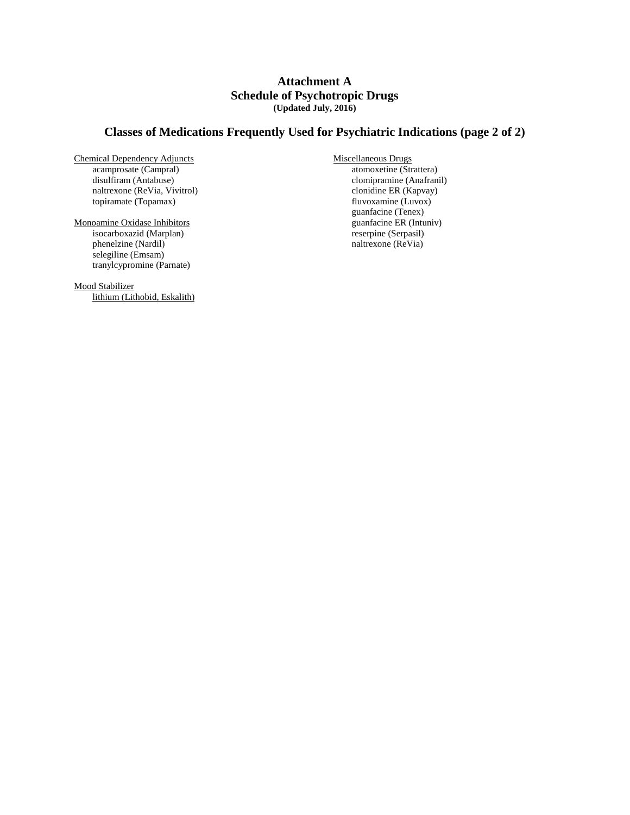## **Attachment A Schedule of Psychotropic Drugs (Updated July, 2016)**

# **Classes of Medications Frequently Used for Psychiatric Indications (page 2 of 2)**

- Chemical Dependency Adjuncts acamprosate (Campral) disulfiram (Antabuse) naltrexone (ReVia, Vivitrol) topiramate (Topamax)
- Monoamine Oxidase Inhibitors isocarboxazid (Marplan) phenelzine (Nardil) selegiline (Emsam) tranylcypromine (Parnate)

Mood Stabilizer lithium (Lithobid, Eskalith) Miscellaneous Drugs atomoxetine (Strattera) clomipramine (Anafranil) clonidine ER (Kapvay) fluvoxamine (Luvox) guanfacine (Tenex) guanfacine ER (Intuniv) reserpine (Serpasil) naltrexone (ReVia)